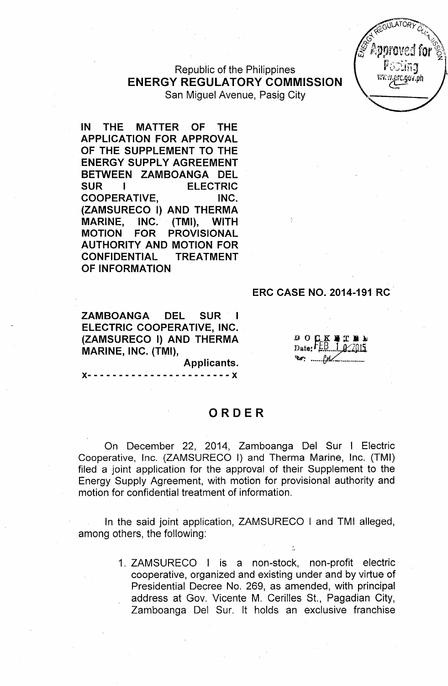Republic of the Philippines **ENERGY REGULATORY COMMISSION** San Miguel Avenue, Pasig City

**IN THE MATTER OF THE APPLICATION FOR APPROVAL OF THE SUPPLEMENT TO THE ENERGY SUPPLY AGREEMENT BETWEEN ZAMBOANGA DEL SUR I ELECTRIC COOPERATIVE, INC. (ZAMSURECO I) AND THERMA MARINE, INC. (TMI), WITH MOTION FOR PROVISIONAL AUTHORITY AND MOTION FOR CONFIDENTIAL TREATMENT OF INFORMATION**

#### **ERC CASE NO. 2014-191 RC**

C.GOV.Dh

**ZAMBOANGA DEL SUR I ELECTRIC COOPERATIVE, INC. (ZAMSURECO I) AND THERMA MARINE, INC. (TMI),**

 $B$  O  $C K$  ) Date:  $\Gamma$ 

# **ORDER**

**Applicants. )(- - - - - - - - -** ,- - - - - - - - - - - - - - )(

On December 22, 2014, Zamboanga Del Sur I Electric Cooperative, Inc. (ZAMSURECO I) and Therma Marine, Inc. (TMI) filed a joint application for the approval of their Supplement to the Energy Supply Agreement, with motion for provisional authority and motion for confidential treatment of information.

In the said joint application, ZAMSURECO I and TMI alleged, among others, the following:

> 1. ZAMSURECO I is a non-stock, non-profit electric cooperative, organized and existing under and by virtue of Presidential Decree No. 269, as amended, with principal address at Gov. Vicente M. Cerilles St., Pagadian City, Zamboanga Del Sur. It holds an exclusive franchise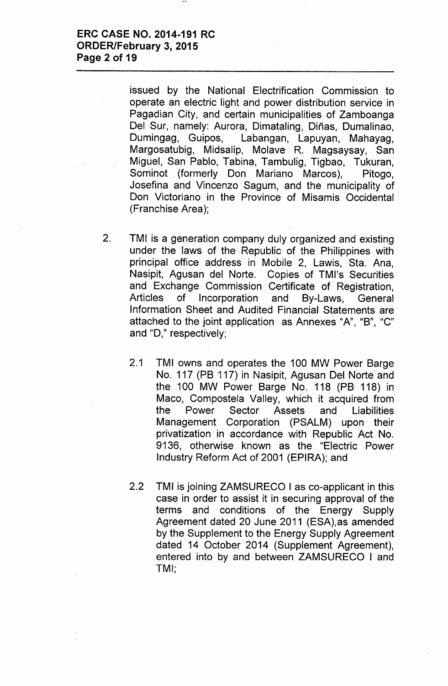issued by the National Electrification Commission to operate an electric light and power distribution service in Pagadian City, and certain municipalities of Zamboanga Del Sur, namely: Aurora, Dimataling, Diñas, Dumalinao, Dumingag, Guipos, Labangan, Lapuyan, Mahayag, Margosatubig, Midsalip, Molave R. Magsaysay, San Miguel, San Pablo, Tabina, Tambulig, Tigbao, Tukuran, Sominot (formerly Don Mariano Marcos), Pitogo, Josefina and Vincenzo Sagum, and the municipality of Don Victoriano in the Province of Misamis Occidental (Franchise Area);

- 2. TMI is a generation company duly organized and existing under the laws of the Republic of the Philippines with principal office address in Mobile 2, Lawis, Sta. Ana, Nasipit, Agusan del Norte. Copies of TMl's Securities and Exchange Commission Certificate of Registration, Articles of Incorporation and By-Laws, General Information Sheet and Audited Financial Statements are attached to the joint application as Annexes "A", "B", "C" and "0," respectively;
	- 2.1 TMI owns and operates the 100 MW Power Barge No. 117 (PB 117) in Nasipit, Agusan Del Norte and the 100 MW Power Barge No. 118 (PB 118) in Maco, Compostela Valley, which it acquired from the Power Sector Assets and Liabilities Management Corporation (PSALM) upon their privatization in accordance with Republic Act No. 9136, otherwise known as the "Electric Power Industry Reform Act of 2001 (EPIRA); and
	- 2.2 TMI is joining ZAMSURECO I as co-applicant in this case in order to assist it in securing approval of the terms and conditions of the Energy Supply Agreement dated 20 June 2011 (ESA),as amended by the Supplement to the Energy Supply Agreement dated 14 October 2014 (Supplement Agreement), entered into by and between ZAMSURECO I and TMI',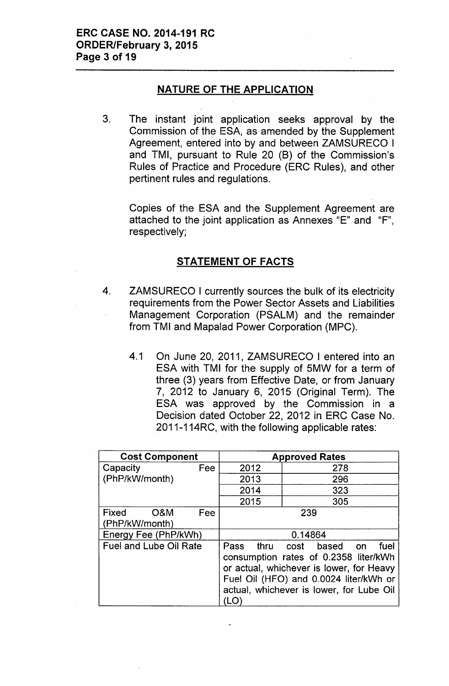# NATURE OF THE APPLICATION

3. The instant joint application seeks approval by the Commission of the ESA, as amended by the Supplement Agreement, entered into by and between ZAMSURECO I and TMI, pursuant to Rule 20 (8) of the Commission's Rules of Practice and Procedure (ERC Rules), and other pertinent rules and regulations.

Copies of the ESA and the Supplement Agreement are attached to the joint application as Annexes "E" and "F", respectively;

## STATEMENT OF FACTS

- 4. ZAMSURECO I currently sources the bulk of its electricity requirements from the Power Sector Assets and Liabilities Management Corporation (PSALM) and the remainder from TMI and Mapalad Power Corporation (MPC).
	- 4.1 On June 20, 2011, ZAMSURECO I entered into an ESA with TMI for the supply of 5MW for a term of three (3) years from Effective Date, or from January 7, 2012 to January 6, 2015 (Original Term). The ESA was approved by the Commission in a Decision dated October 22, 2012 in ERC Case No. 2011-114RC, with the following applicable rates:

| <b>Cost Component</b>          |       | <b>Approved Rates</b>                                                                                                                                                                                             |     |  |  |
|--------------------------------|-------|-------------------------------------------------------------------------------------------------------------------------------------------------------------------------------------------------------------------|-----|--|--|
| Capacity                       | Fee   | 2012                                                                                                                                                                                                              | 278 |  |  |
| (PhP/kW/month)                 |       | 2013                                                                                                                                                                                                              | 296 |  |  |
|                                |       | 2014                                                                                                                                                                                                              | 323 |  |  |
|                                |       | 2015                                                                                                                                                                                                              | 305 |  |  |
| Fixed<br>O&M<br>(PhP/kW/month) | - Fee | 239                                                                                                                                                                                                               |     |  |  |
| Energy Fee (PhP/kWh)           |       | 0.14864                                                                                                                                                                                                           |     |  |  |
| <b>Fuel and Lube Oil Rate</b>  |       | Pass thru cost based on<br>fuel<br>consumption rates of 0.2358 liter/kWh<br>or actual, whichever is lower, for Heavy<br>Fuel Oil (HFO) and 0.0024 liter/kWh or<br>actual, whichever is lower, for Lube Oil<br>'LO |     |  |  |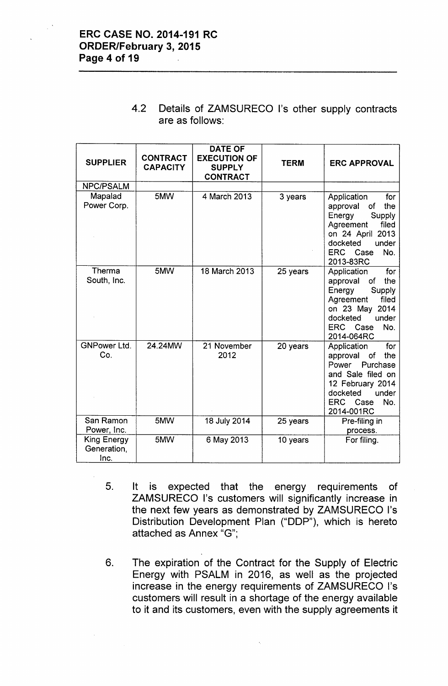| 4.2 Details of ZAMSURECO I's other supply contracts |  |  |
|-----------------------------------------------------|--|--|
| are as follows:                                     |  |  |

|                                           |                                    | <b>DATE OF</b>                                          |             |                                                                                                                                                                           |
|-------------------------------------------|------------------------------------|---------------------------------------------------------|-------------|---------------------------------------------------------------------------------------------------------------------------------------------------------------------------|
| <b>SUPPLIER</b>                           | <b>CONTRACT</b><br><b>CAPACITY</b> | <b>EXECUTION OF</b><br><b>SUPPLY</b><br><b>CONTRACT</b> | <b>TERM</b> | <b>ERC APPROVAL</b>                                                                                                                                                       |
| <b>NPC/PSALM</b>                          |                                    |                                                         |             |                                                                                                                                                                           |
| Mapalad<br>Power Corp.                    | 5MW                                | 4 March 2013                                            | 3 years     | Application<br>for<br>of<br>the<br>approval<br>Energy<br>Supply<br>Agreement<br>filed<br>on 24 April 2013<br>docketed<br>under<br>ERC Case<br>No.<br>2013-83RC            |
| Therma<br>South, Inc.                     | 5MW                                | 18 March 2013                                           | 25 years    | for<br>Application<br>the<br>approval<br>of<br>Energy<br>Supply<br>Agreement<br>filed<br>on 23 May 2014<br>docketed<br>under<br>ERC Case<br>No.<br>2014-064RC             |
| <b>GNPower Ltd.</b><br>Co.                | 24.24MW                            | 21 November<br>2012                                     | 20 years    | for<br>Application<br>the<br>approval<br>of<br>Power<br>Purchase<br>and Sale filed on<br>12 February 2014<br>under<br>docketed<br><b>ERC</b><br>No.<br>Case<br>2014-001RC |
| San Ramon<br>Power, Inc.                  | 5MW                                | 18 July 2014                                            | 25 years    | Pre-filing in<br>process.                                                                                                                                                 |
| <b>King Energy</b><br>Generation,<br>Inc. | 5MW                                | 6 May 2013                                              | 10 years    | For filing.                                                                                                                                                               |

- 5. It is expected that the energy requirements of ZAMSURECO I's customers will significantly increase in the next few years as demonstrated by ZAMSURECO I's Distribution Development Plan ("DDP"), which is hereto attached as Annex "G":
- 6. The expiration of the Contract for the Supply of Electric Energy with PSALM in 2016, as well as the projected increase in the energy requirements of ZAMSURECO I's customers will result in a shortage of the energy available to it and its customers, even with the supply agreements it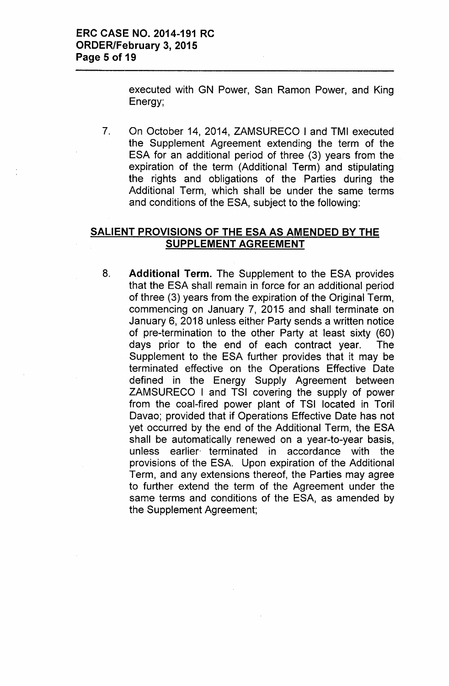executed with GN Power, San Ramon Power, and King Energy;

7. On October 14, 2014, ZAMSURECO I and TMI executed the Supplement Agreement extending the term of the ESA for an additional period of three (3) years from the expiration of the term (Additional Term) and stipulating the rights and obligations of the Parties during the Additional Term, which shall be under the same terms and conditions of the ESA, subject to the following:

## **SALIENT PROVISIONS OF THE ESA AS AMENDED BY THE SUPPLEMENT AGREEMENT**

8. **Additional Term.** The Supplement to the ESA provides that the ESA shall remain in force for an additional period of three (3) years from the expiration of the Original Term, commencing on January 7, 2015 and shall terminate on January 6, 2018 unless either Party sends a written notice of pre-termination to the other Party at least sixty (60) days prior to the end of each contract year. The Supplement to the ESA further provides that it may be terminated effective on the Operations Effective Date defined in the Energy Supply Agreement between ZAMSURECO I and TSI covering the supply of power from the coal-fired power plant of TSI located in Tori! Davao; provided that if Operations Effective Date has not yet occurred by the end of the Additional Term, the ESA shall be automatically renewed on a year-to-year basis, unless earlier- terminated in accordance with the provisions of the ESA. Upon expiration of the Additional Term, and any extensions thereof, the Parties may agree to further extend the term of the Agreement under the same terms and conditions of the ESA, as amended by the Supplement Agreement;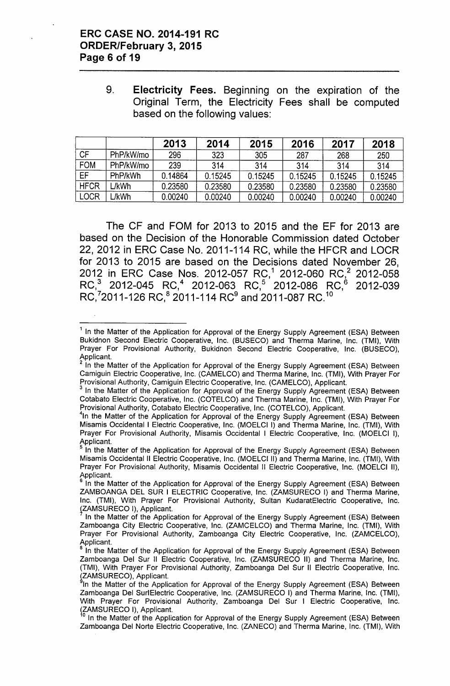9. **Electricity Fees.** Beginning on the expiration of the Original Term, the Electricity Fees shall be computed based on the following values:

|             |           | 2013    | 2014    | 2015    | 2016    | 2017    | 2018    |
|-------------|-----------|---------|---------|---------|---------|---------|---------|
| <b>CF</b>   | PhP/kW/mo | 296     | 323     | 305     | 287     | 268     | 250     |
| <b>FOM</b>  | PhP/kW/mo | 239     | 314     | 314     | 314     | 314     | 314     |
| EF.         | PhP/kWh   | 0.14864 | 0.15245 | 0.15245 | 0.15245 | 0.15245 | 0.15245 |
| <b>HFCR</b> | _/kWh     | 0.23580 | 0.23580 | 0.23580 | 0.23580 | 0.23580 | 0.23580 |
| <b>LOCR</b> | ./kWh     | 0.00240 | 0.00240 | 0.00240 | 0.00240 | 0.00240 | 0.00240 |

The CF and FOM for 2013 to 2015 and the EF for 2013 are based on the Decision of the Honorable Commission dated October 22,2012 in ERC Case No. 2011-114 RC, while the HFCR and LOCR for 2013 to 2015 are based on the Decisions dated November 26, 2012 in ERC Case Nos. 2012-057 RC,<sup>1</sup> 2012-060 RC,<sup>2</sup> 2012-058 RC,<sup>3</sup> 2012-045 RC,<sup>4</sup> 2012-063 RC,<sup>5</sup> 2012-086 RC,<sup>6</sup> 2012-039  $\mathsf{RC}^{(7)}_7$ 2011-126  $\mathsf{RC}^{8}_7$  2011-114  $\mathsf{RC}^{9}$  and 2011-087  $\mathsf{RC}^{10}$  .

<sup>&</sup>lt;sup>1</sup> In the Matter of the Application for Approval of the Energy Supply Agreement (ESA) Between Bukidnon Second Electric Cooperative, Inc. (BUSECO) and Therma Marine, Inc. (TMI), With Prayer For Provisional Authority, Bukidnon Second Electric Cooperative, Inc. (BUSECO), Applicant.

<sup>&</sup>lt;sup>2</sup> In the Matter of the Application for Approval of the Energy Supply Agreement (ESA) Between Camiguin Electric Cooperative, Inc. (CAMELCO) and Therma Marine, Inc. (TMI), With Prayer For Provisional Authority, Camiguin Electric Cooperative, Inc. (CAMELCO), Applicant.

<sup>&</sup>lt;sup>3</sup> In the Matter of the Application for Approval of the Energy Supply Agreement (ESA) Between Cotabato Electric Cooperative, Inc. (COTELCO) and Therma Marine, Inc. (TMI), With Prayer For Provisional Authority, Cotabato Electric Cooperative, Inc. (COTELCO), Applicant.

<sup>&</sup>lt;sup>4</sup>In the Matter of the Application for Approval of the Energy Supply Agreement (ESA) Between Misamis Occidental I Electric Cooperative, Inc. (MOELCI I) and Therma Marine, Inc. (TMI), With Prayer For Provisional Authority, Misamis Occidental I Electric Cooperative, Inc. (MOELCI I), Applicant.

<sup>&</sup>lt;sup>5</sup> In the Matter of the Application for Approval of the Energy Supply Agreement (ESA) Between Misamis Occidental II Electric Cooperative, Inc. (MOELCI II) and Therma Marine, Inc. (TMI), With Prayer For Provisional Authority, Misamis Occidental II Electric Cooperative, Inc. (MOELCI II), Applicant.

In the Matter of the Application for Approval of the Energy Supply Agreement (ESA) Between ZAMBOANGA DEL SUR I ELECTRIC Cooperative, Inc. (ZAMSURECO I) and Therma Marine, Inc. (TMI), With Prayer For Provisional Authority, Sultan KudaratElectric Cooperative, Inc. ~ZAMSURECO I), Applicant.

In the Matter of the Application for Approval of the Energy Supply Agreement (ESA) Between Zamboanga City Electric Cooperative, Inc. (ZAMCELCO) and Therma Marine, Inc. (TMI), With Prayer For Provisional Authority, Zamboanga City Electric Cooperative, Inc. (ZAMCELCO), Applicant.

In the Matter of the Application for Approval of the Energy Supply Agreement (ESA) Between Zamboanga Del Sur II Electric Cooperative, Inc. (ZAMSURECO II) and Therma Marine, Inc. (TMI), With Prayer For Provisional Authority, Zamboanga Del Sur II Electric Cooperative, Inc. (ZAMSURECO), Applican

In the Matter of the Application for Approval of the Energy Supply Agreement (ESA) Betweer Zamboanga Del SurlElectric Cooperative, Inc. (ZAMSURECO I) and Therma Marine, Inc. (TMI), With Prayer For Provisional Authority, Zamboanga Del Sur I Electric Cooperative, Inc. ZAMSURECO I), Applicant.

In the Matter of the Application for Approval of the Energy Supply Agreement (ESA) Between Zamboanga Del Norte Electric Cooperative, Inc. (ZANECO) and Therma Marine, Inc. (TMI), With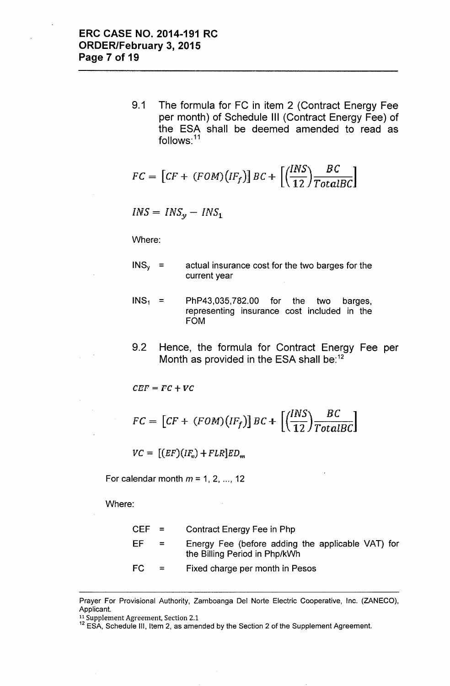9.1 The formula for FC in item 2 (Contract Energy Fee per month) of Schedule III (Contract Energy Fee) of the ESA shall be deemed amended to read as follows:<sup>11</sup>

$$
FC = [CF + (FOM)(IF_f)] BC + \left[ \left( \frac{INS}{12} \right) \frac{BC}{TotalBC} \right]
$$

 $INS = INS_y - INS_1$ 

Where:

- $INS<sub>y</sub>$  = actual insurance cost for the two barges for the current year
- PhP43,035,782.00 for the two barges,  $INS<sub>1</sub> =$ representing insurance cost included in the FOM
- 9.2 Hence, the formula for Contract Energy Fee per Month as provided in the ESA shall be:<sup>12</sup>

$$
CEF = FC + VC
$$

$$
FC = \left[ CF + (FOM)(IF_f) \right] BC + \left[ \left( \frac{INS}{12} \right) \frac{BC}{TotalBC} \right]
$$

 $VC = [(EF)(IF_{v}) + FLR]ED_{m}$ 

For calendar month  $m = 1, 2, ..., 12$ 

Where:

| CEF = |              | Contract Energy Fee in Php                                                         |
|-------|--------------|------------------------------------------------------------------------------------|
| EF    | $=$          | Energy Fee (before adding the applicable VAT) for<br>the Billing Period in Php/kWh |
| FC    | $\mathbf{r}$ | Fixed charge per month in Pesos                                                    |

Prayer For Provisional Authority, Zamboanga Del Norte Electric Cooperative, Inc. (ZANECO), Applicant.

11 Supplement Agreement, Section 2.1

<sup>&</sup>lt;sup>12</sup> ESA, Schedule III, Item 2, as amended by the Section 2 of the Supplement Agreement.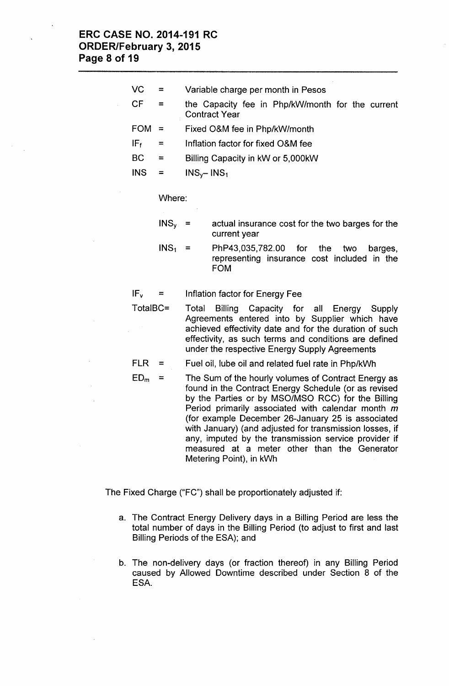- $VC = Variable charge per month in Pesos$
- CF = the Capacity fee in Php/kW/month for the current Contract Year
- FOM = Fixed O&M fee in Php/kW/month
- $IF<sub>f</sub>$  = Inflation factor for fixed O&M fee
- $BC =$  Billing Capacity in kW or 5,000 kW
- $INS = INS_v INS_1$

#### Where:

- $INS<sub>v</sub>$  = actual insurance cost for the two barges for the current year
- PhP43,035,782.00 for the two barges,  $INS<sub>1</sub>$  $=$ representing insurance cost included in the FOM

 $IF_v$  = Inflation factor for Energy Fee

- TotalBC= Total Billing Capacity for all Energy Supply Agreements entered into by Supplier which have achieved effectivity date and for the duration of such effectivity, as such terms and conditions are defined under the respective Energy Supply Agreements
- FLR = Fuel oil, lube oil and related fuel rate in Php/kWh
- **ED<sup>m</sup> =** The Sum of the hourly volumes of Contract Energy as found in the Contract Energy Schedule (or as revised by the Parties or by MSO/MSO RCC) for the Billing Period primarily associated with calendar month m (for example December 26-January 25 is associated with January) (and adjusted for transmission losses, if any, imputed by the transmission service provider if measured at a meter other than the Generator Metering Point), in kWh

The Fixed Charge ("FC") shall be proportionately adjusted if:

- a. The Contract Energy Delivery days in a Billing Period are less the total number of days in the Billing Period (to adjust to first and last Billing Periods of the ESA); and
- b. The non-delivery days (or fraction thereof) in any Billing Period caused by Allowed Downtime described under Section 8 of the ESA.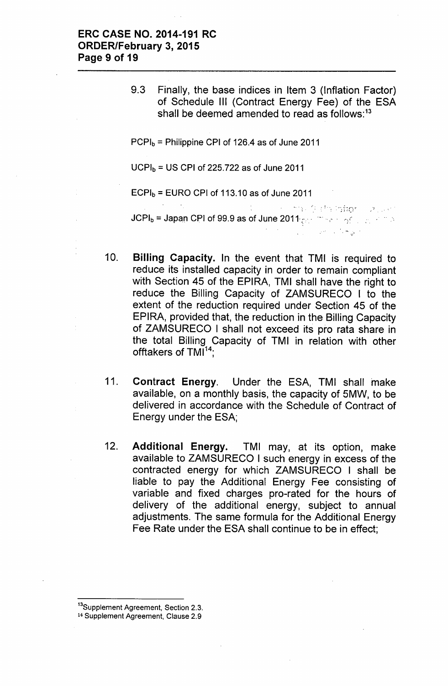9.3 Finally, the base indices in Item 3 (Inflation Factor) of Schedule III (Contract Energy Fee) of the ESA shall be deemed amended to read as follows:<sup>13</sup>

 $PCPI<sub>b</sub>$  = Philippine CPI of 126.4 as of June 2011

 $UCPI<sub>b</sub> = US CPU of 225.722 as of June 2011$ 

 $ECPI<sub>b</sub> = EURO CPI of 113.10 as of June 2011$ 

man for the lighter of the state  $JCPI_b$  = Japan CPI of 99.9 as of June 2011. The state of  $J_{\rm{max}}$  $\mathbf{r}$  $\mathcal{L}(\mathcal{C})$  ,  $\mathcal{L}(\mathcal{C})$  ,  $\mathcal{L}(\mathcal{C})$ 

- 10. Billing Capacity. In the event that TMI is required to reduce its installed capacity in order to remain compliant with Section 45 of the EPIRA, TMI shall have the right to reduce the Billing Capacity of ZAMSURECO I to the extent of the reduction required under Section 45 of the EPIRA, provided that, the reduction in the Billing Capacity of ZAMSURECO I shall not exceed its pro rata share in the total Billing Capacity of TMI in relation with other offtakers of TMI<sup>14</sup>;
- 11. Contract Energy. Under the ESA, TMI shall make available, on a monthly basis, the capacity of 5MW, to be delivered in accordance with the Schedule of Contract of Energy under the ESA;
- 12. Additional Energy. TMI may, at its option, make available to ZAMSURECO I such energy in excess of the contracted energy for which ZAMSURECO I shall be liable to pay the Additional Energy Fee consisting of variable and fixed charges pro-rated for the hours of delivery of the additional energy, subject to annual adjustments. The same formula for the Additional Energy Fee Rate under the ESA shall continue to be in effect;

<sup>&</sup>lt;sup>13</sup>Supplement Agreement, Section 2.3.

<sup>14</sup> Supplement Agreement, Clause 2.9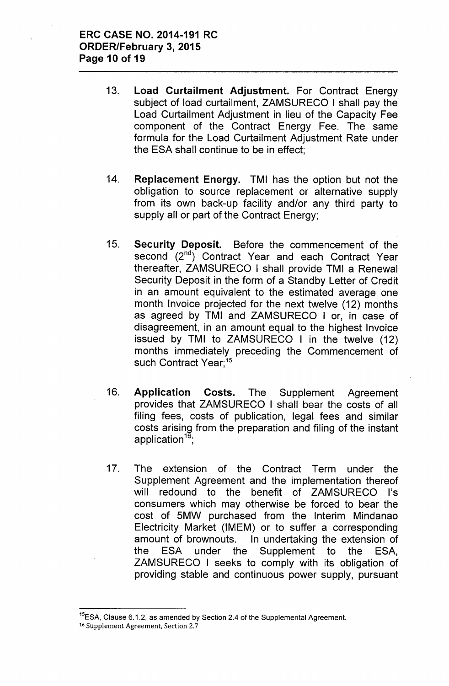- 13. Load Curtailment Adjustment. For Contract Energy subject of load curtailment, ZAMSURECO I shall pay the Load Curtailment Adjustment in lieu of the Capacity Fee component of the Contract Energy Fee. The same formula for the Load Curtailment Adjustment Rate under the ESA shall continue to be in effect;
- 14. Replacement Energy. TMI has the option but not the obligation to source replacement or alternative supply from its own back-up facility and/or any third party to supply all or part of the Contract Energy;
- 15. Security Deposit. Before the commencement of the second (2<sup>nd</sup>) Contract Year and each Contract Year thereafter, ZAMSURECO I shall provide TMI a Renewal Security Deposit in the form of a Standby Letter of Credit in an amount equivalent to the estimated average one month Invoice projected for the next twelve (12) months as agreed by TMI and ZAMSURECO I or, in case of disagreement, in an amount equal to the highest Invoice issued by TMI to ZAMSURECO I in the twelve (12) months immediately preceding the Commencement of such Contract Year:<sup>15</sup>
- 16. Application Costs. The Supplement Agreement provides that ZAMSURECO I shall bear the costs of all filing fees, costs of publication, legal fees and similar costs arising from the preparation and filing of the instant application $16$ ;
- 17. The extension of the Contract Term under the Supplement Agreement and the implementation thereof will redound to the benefit of ZAMSURECO I's consumers which may otherwise be forced to bear the cost of 5MW purchased from the Interim Mindanao Electricity Market (IMEM) or to suffer a corresponding amount of brownouts. In undertaking the extension of the ESA under the Supplement to the ESA, ZAMSURECO I seeks to comply with its obligation of providing stable and continuous power supply, pursuant

<sup>&</sup>lt;sup>15</sup>ESA, Clause 6.1.2, as amended by Section 2.4 of the Supplemental Agreement. 16 Supplement Agreement, Section 2.7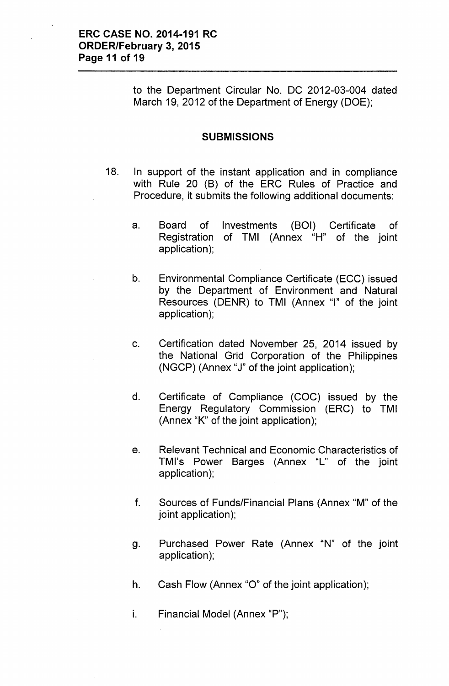to the Department Circular No. DC 2012-03-004 dated March 19, 2012 of the Department of Energy (DOE);

## **SUBMISSIONS**

- 18. In support of the instant application and in compliance with Rule 20 (B) of the ERC Rules of Practice and Procedure, it submits the following additional documents:
	- a. Board of Investments (BOI) Certificate of Registration of TMI (Annex "H" of the joint application);
	- b. Environmental Compliance Certificate (ECC) issued by the Department of Environment and Natural Resources (DENR) to TMI (Annex "I" of the joint application);
	- c. Certification dated November 25, 2014 issued by the National Grid Corporation of the Philippines (NGCP) (Annex "J" of the joint application);
	- d. Certificate of Compliance (COC) issued by the Energy Regulatory Commission (ERC) to TMI (Annex "K" of the joint application);
	- e. Relevant Technical and Economic Characteristics of TMI's Power Barges (Annex "L" of the joint application);
	- f. Sources of Funds/Financial Plans (Annex "M" of the joint application);
	- g. Purchased Power Rate (Annex "N" of the joint application);
	- h. Cash Flow (Annex "0" of the joint application);
	- i. Financial Model (Annex "P");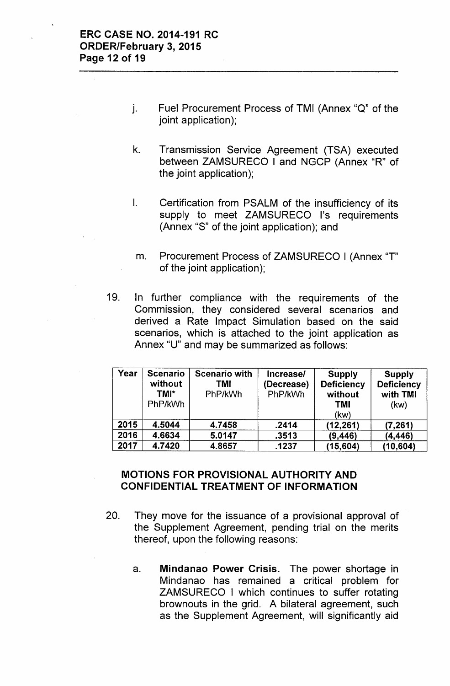- j. Fuel Procurement Process of TMI (Annex "Q" of the joint application);
- k. Transmission Service Agreement (TSA) executed between ZAMSURECO I and NGCP (Annex "R" of the joint application);
- I. Certification from PSALM of the insufficiency of its supply to meet ZAMSURECO I's requirements (Annex "S" of the joint application); and
- m. Procurement Process of ZAMSURECO I (Annex "T" of the joint application);
- 19. In further compliance with the requirements of the Commission, they considered several scenarios and derived a Rate Impact Simulation based on the said scenarios, which is attached to the joint application as Annex "U" and may be summarized as follows:

| Year | <b>Scenario</b><br>without<br>TMI*<br>PhP/kWh | <b>Scenario with</b><br>TMI<br>PhP/kWh | Increase/<br>(Decrease)<br>PhP/kWh | <b>Supply</b><br><b>Deficiency</b><br>without<br>TMI<br>(kw) | <b>Supply</b><br><b>Deficiency</b><br>with TMI<br>(kw) |
|------|-----------------------------------------------|----------------------------------------|------------------------------------|--------------------------------------------------------------|--------------------------------------------------------|
| 2015 | 4.5044                                        | 4.7458                                 | .2414                              | (12, 261)                                                    | (7, 261)                                               |
| 2016 | 4.6634                                        | 5.0147                                 | .3513                              | (9,446)                                                      | (4, 446)                                               |
| 2017 | 4.7420                                        | 4.8657                                 | .1237                              | (15, 604)                                                    | (10, 604)                                              |

## MOTIONS FOR PROVISIONAL AUTHORITY AND CONFIDENTIAL TREATMENT OF INFORMATION

- 20. They move for the issuance of a provisional approval of the Supplement Agreement, pending trial on the merits thereof, upon the following reasons:
	- a. Mindanao Power Crisis. The power shortage in Mindanao has remained a critical problem for ZAMSURECO I which continues to suffer rotating brownouts in the grid. A bilateral agreement, such as the Supplement Agreement, will significantly aid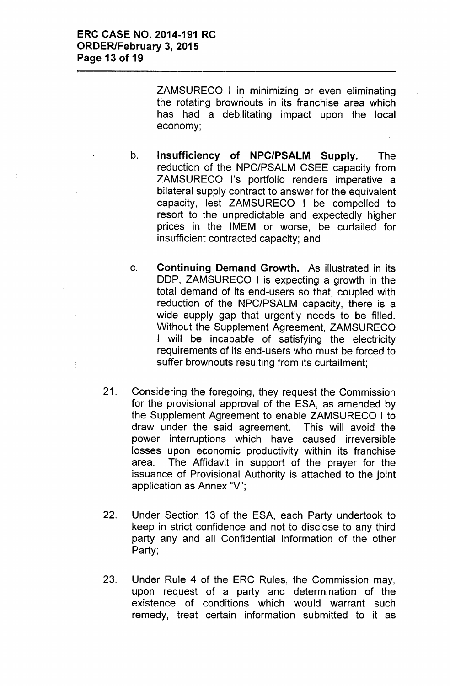ZAMSURECO I in minimizing or even eliminating the rotating brownouts in its franchise area which has had a debilitating impact upon the local economy;

- b. Insufficiency of NPC/PSALM Supply. The reduction of the NPC/PSALM CSEE capacity from ZAMSURECO I's portfolio renders imperative a bilateral supply contract to answer for the equivalent capacity, lest ZAMSURECO I be compelled to resort to the unpredictable and expectedly higher prices in the IMEM or worse, be curtailed for insufficient contracted capacity; and
- c. Continuing Demand Growth. As illustrated in its DDP, ZAMSURECO I is expecting a growth in the total demand of its end-users so that, coupled with reduction of the NPC/PSALM capacity, there is a wide supply gap that urgently needs to be filled. Without the Supplement Agreement, ZAMSURECO I will be incapable of satisfying the electricity requirements of its end-users who must be forced to suffer brownouts resulting from its curtailment;
- 21. Considering the foregoing, they request the Commission for the provisional approval of the ESA, as amended by the Supplement Agreement to enable ZAMSURECO I to draw under the said agreement. This will avoid the power interruptions which have caused irreversible losses upon economic productivity within its franchise area. The Affidavit in support of the prayer for the issuance of Provisional Authority is attached to the joint application as Annex "V";
- 22. Under Section 13 of the ESA, each Party undertook to keep in strict confidence and not to disclose to any third party any and all Confidential Information of the other Party;
- 23. Under Rule 4 of the ERC Rules, the Commission may, upon request of a party and determination of the existence of conditions which would warrant such remedy, treat certain information submitted to it as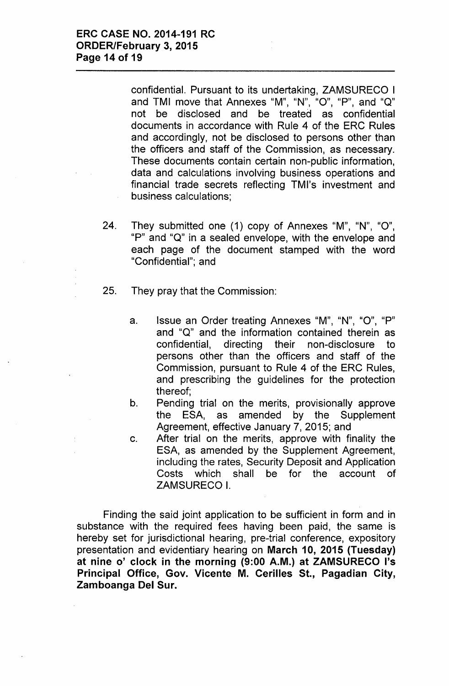confidential. Pursuant to its undertaking, ZAMSURECO I and TMI move that Annexes "M", "N", "O", "P", and "Q" not be disclosed and be treated as confidential documents in accordance with Rule 4 of the ERC Rules and accordingly, not be disclosed to persons other than the officers and staff of the Commission, as necessary. These documents contain certain non-public information, data and calculations involving business operations and financial trade secrets reflecting TMI's investment and business calculations;

- 24. They submitted one (1) copy of Annexes "M", "N", "0", "P" and "Q" in a sealed envelope, with the envelope and each page of the document stamped with the word "Confidential"; and
- 25. They pray that the Commission:
	- a. Issue an Order treating Annexes "M", "N", "O", "P" and "Q" and the information contained therein as confidential, directing their non-disclosure to persons other than the officers and staff of the Commission, pursuant to Rule 4 of the ERC Rules, and prescribing the guidelines for the protection thereof;
	- b. Pending trial on the merits, provisionally approve the ESA, as amended by the Supplement Agreement, effective January 7, 2015; and
	- c. After trial on the merits, approve with finality the ESA, as amended by the Supplement Agreement, including the rates, Security Deposit and Application Costs which shall be for the account of ZAMSURECO I.

Finding the said joint application to be sufficient in form and in substance with the required fees having been paid, the same is hereby set for jurisdictional hearing, pre-trial conference, expository presentation and evidentiary hearing on March 10, 2015 (Tuesday) at nine 0' clock in the morning (9:00 A.M.) at ZAMSURECO I's Principal Office, Gov. Vicente M. Cerilles St., Pagadian City, Zamboanga Del Sur.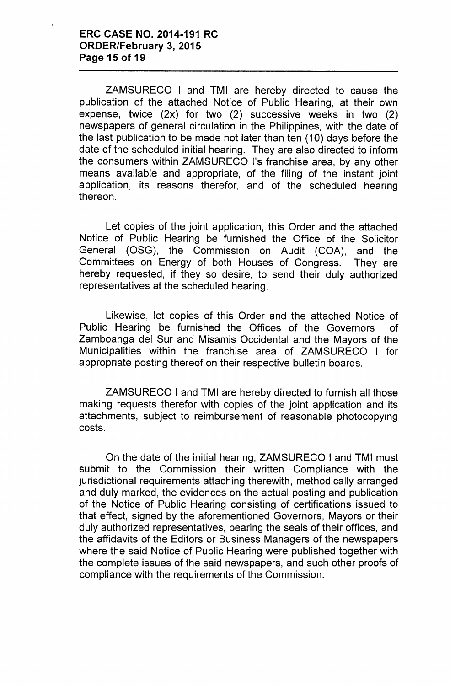ZAMSURECO I and TMI are hereby directed to cause the publication of the attached Notice of Public Hearing, at their own expense, twice (2x) for two (2) successive weeks in two (2) newspapers of general circulation in the Philippines, with the date of the last publication to be made not later than ten (10) days before the date of the scheduled initial hearing. They are also directed to inform the consumers within ZAMSURECO I's franchise area, by any other means available and appropriate, of the filing of the instant joint application, its reasons therefor, and of the scheduled hearing thereon.

Let copies of the joint application, this Order and the attached Notice of Public Hearing be furnished the Office of the Solicitor General (OSG), the Commission on Audit (COA), and the Committees on Energy of both Houses of Congress. They are hereby requested, if they so desire, to send their duly authorized representatives at the scheduled hearing.

Likewise, let copies of this Order and the attached Notice of Public Hearing be furnished the Offices of the Governors of Zamboanga del Sur and Misamis Occidental and the Mayors of the Municipalities within the franchise area of ZAMSURECO I for appropriate posting thereof on their respective bulletin boards.

ZAMSURECO I and TMI are hereby directed to furnish all those making requests therefor with copies of the joint application and its attachments, subject to reimbursement of reasonable photocopying costs.

On the date of the initial hearing, ZAMSURECO I and TMI must submit to the Commission their written Compliance with the jurisdictional requirements attaching therewith, methodically arranged and duly marked, the evidences on the actual posting and publication of the Notice of Public Hearing consisting of certifications issued to that effect, signed by the aforementioned Governors, Mayors or their duly authorized representatives, bearing the seals of their offices, and the affidavits of the Editors or Business Managers of the newspapers where the said Notice of Public Hearing were published together with the complete issues of the said newspapers, and such other proofs of compliance with the requirements of the Commission.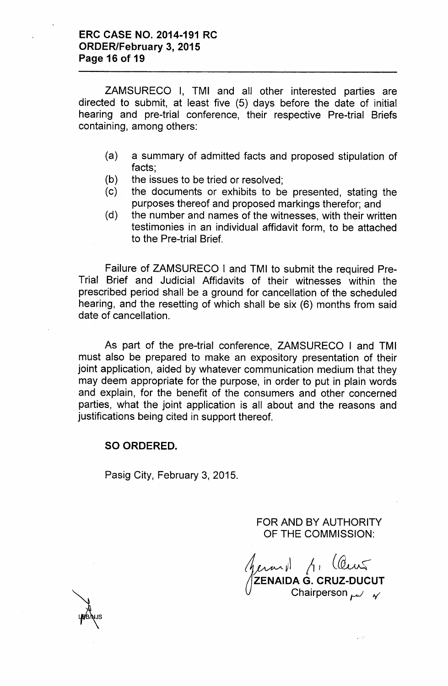ZAMSURECO I, TMI and all other interested parties are directed to submit, at least five (5) days before the date of initial hearing and pre-trial conference, their respective Pre-trial Briefs containing, among others:

- (a) a summary of admitted facts and proposed stipulation of facts;
- (b) the issues to be tried or resolved;
- (c) the documents or exhibits to be presented, stating the purposes thereof and proposed markings therefor; and
- (d) the number and names of the witnesses, with their written testimonies in an individual affidavit form, to be attached to the Pre-trial Brief.

Failure of ZAMSURECO I and TMI to submit the required Pre-Trial Brief and Judicial Affidavits of their witnesses within the prescribed period shall be a ground for cancellation of the scheduled hearing, and the resetting of which shall be six (6) months from said date of cancellation.

As part of the pre-trial conference, ZAMSURECO I and TMI must also be prepared to make an expository presentation of their joint application, aided by whatever communication medium that they may deem appropriate for the purpose, in order to put in plain words and explain, for the benefit of the consumers and other concerned parties, what the joint application is all about and the reasons and justifications being cited in support thereof.

## SO ORDERED.

Pasig City, February 3, 2015.

FOR AND BY AUTHORITY OF THE COMMISSION:

 $\cup$ Jerard A. Clear ZENAIDA G. CRUZ-DUCUT Chairperson,.,J *"i*

is b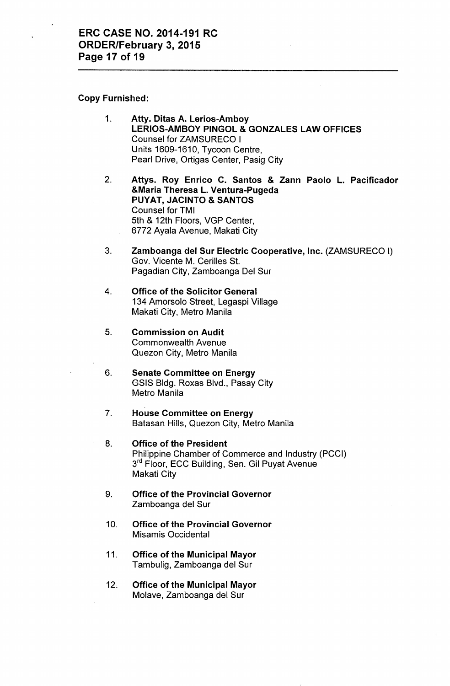#### Copy Furnished:

- 1. Atty. Ditas A. Lerios-Amboy LERIOS-AMBOY PINGOL & GONZALES LAW OFFICES Counsel for ZAMSURECO I Units 1609-1610, Tycoon Centre, Pearl Drive, Ortigas Center, Pasig City
- 2. Attys. Roy Enrico C. Santos & Zann Paolo L. Pacificador &Maria Theresa L. Ventura-Pugeda PUYAT, JACINTO & SANTOS Counsel for TMI 5th & 12th Floors, VGP Center, 6772 Ayala Avenue, Makati City
- 3. Zamboanga del Sur Electric Cooperative, Inc. (ZAMSURECO I) Gov. Vicente M. Cerilles St. Pagadian City, Zamboanga Del Sur
- 4. Office of the Solicitor General 134 Amorsolo Street, Legaspi Village Makati City, Metro Manila
- 5. Commission on Audit Commonwealth Avenue Quezon City, Metro Manila
- 6. Senate Committee on Energy GSIS Bldg. Roxas Blvd., Pasay City Metro Manila
- 7. House Committee on Energy Batasan Hills, Quezon City, Metro Manila
- 8. Office of the President Philippine Chamber of Commerce and Industry (PCCI) 3<sup>rd</sup> Floor, ECC Building, Sen. Gil Puyat Avenue Makati City
- 9. Office of the Provincial Governor Zamboanga del Sur
- 10. Office of the Provincial Governor Misamis Occidental
- 11. Office of the Municipal Mayor Tambulig, Zamboanga del Sur
- 12. Office of the Municipal Mayor Molave, Zamboanga del Sur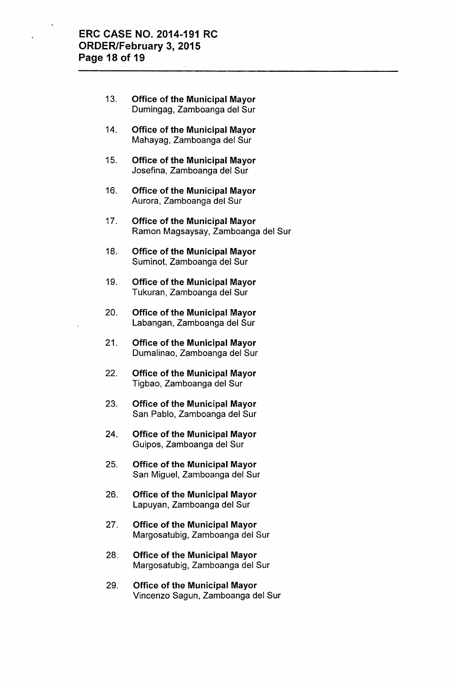- 13. **Office of the Municipal Mayor** Dumingag, Zamboanga del Sur
- 14. **Office of the Municipal Mayor** Mahayag, Zamboanga del Sur
- 15. **Office of the Municipal Mayor** Josefina, Zamboanga del Sur
- 16. **Office of the Municipal Mayor** Aurora, Zamboanga del Sur
- 17. **Office of the Municipal Mayor** Ramon Magsaysay, Zamboanga del Sur
- 18. **Office of the Municipal Mayor** Suminot, Zamboanga del Sur
- 19. **Office of the Municipal Mayor** Tukuran, Zamboanga del Sur
- 20. **Office of the Municipal Mayor** Labangan, Zamboanga del Sur
- 21. **Office of the Municipal Mayor** Dumalinao, Zamboanga del Sur
- 22. **Office of the Municipal Mayor** Tigbao, Zamboanga del Sur
- 23. **Office of the Municipal Mayor** San Pablo, Zamboanga del Sur
- 24. **Office of the Municipal Mayor** Guipos, Zamboanga del Sur
- 25. **Office of the Municipal Mayor** San Miguel, Zamboanga del Sur
- 26. **Office of the Municipal Mayor** Lapuyan, Zamboanga del Sur
- 27. **Office of the Municipal Mayor** Margosatubig, Zamboanga del Sur
- 28. **Office of the Municipal Mayor** Margosatubig, Zamboanga del Sur
- 29. **Office of the Municipal Mayor** Vincenzo Sagun, Zamboanga del Sur